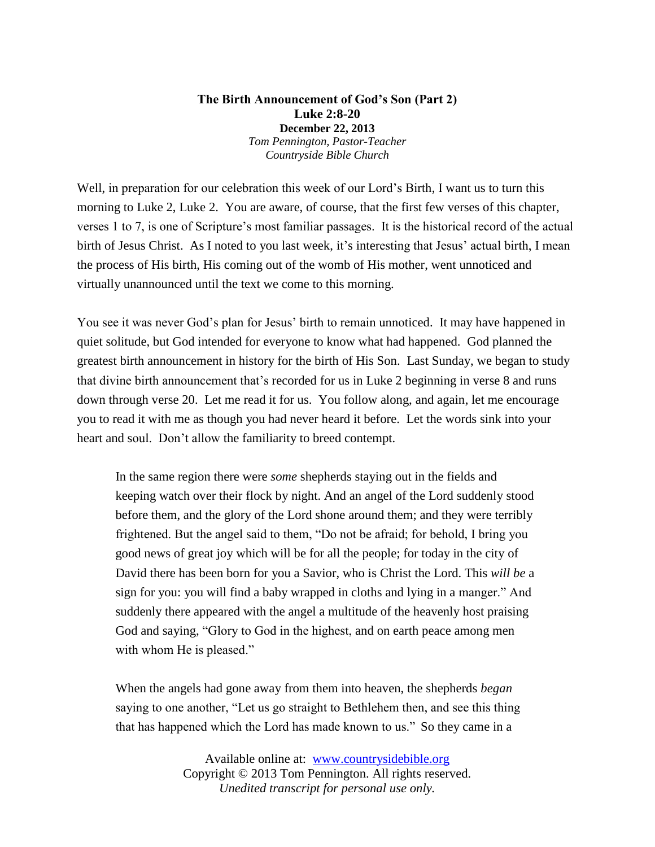## **The Birth Announcement of God's Son (Part 2) Luke 2:8-20 December 22, 2013** *Tom Pennington, Pastor-Teacher Countryside Bible Church*

Well, in preparation for our celebration this week of our Lord's Birth, I want us to turn this morning to Luke 2, Luke 2. You are aware, of course, that the first few verses of this chapter, verses 1 to 7, is one of Scripture's most familiar passages. It is the historical record of the actual birth of Jesus Christ. As I noted to you last week, it's interesting that Jesus' actual birth, I mean the process of His birth, His coming out of the womb of His mother, went unnoticed and virtually unannounced until the text we come to this morning.

You see it was never God's plan for Jesus' birth to remain unnoticed. It may have happened in quiet solitude, but God intended for everyone to know what had happened. God planned the greatest birth announcement in history for the birth of His Son. Last Sunday, we began to study that divine birth announcement that's recorded for us in Luke 2 beginning in verse 8 and runs down through verse 20. Let me read it for us. You follow along, and again, let me encourage you to read it with me as though you had never heard it before. Let the words sink into your heart and soul. Don't allow the familiarity to breed contempt.

In the same region there were *some* shepherds staying out in the fields and keeping watch over their flock by night. And an angel of the Lord suddenly stood before them, and the glory of the Lord shone around them; and they were terribly frightened. But the angel said to them, "Do not be afraid; for behold, I bring you good news of great joy which will be for all the people; for today in the city of David there has been born for you a Savior, who is Christ the Lord. This *will be* a sign for you: you will find a baby wrapped in cloths and lying in a manger." And suddenly there appeared with the angel a multitude of the heavenly host praising God and saying, "Glory to God in the highest, and on earth peace among men with whom He is pleased."

When the angels had gone away from them into heaven, the shepherds *began* saying to one another, "Let us go straight to Bethlehem then, and see this thing that has happened which the Lord has made known to us." So they came in a

> Available online at: [www.countrysidebible.org](http://www.countrysidebible.org/) Copyright © 2013 Tom Pennington. All rights reserved. *Unedited transcript for personal use only.*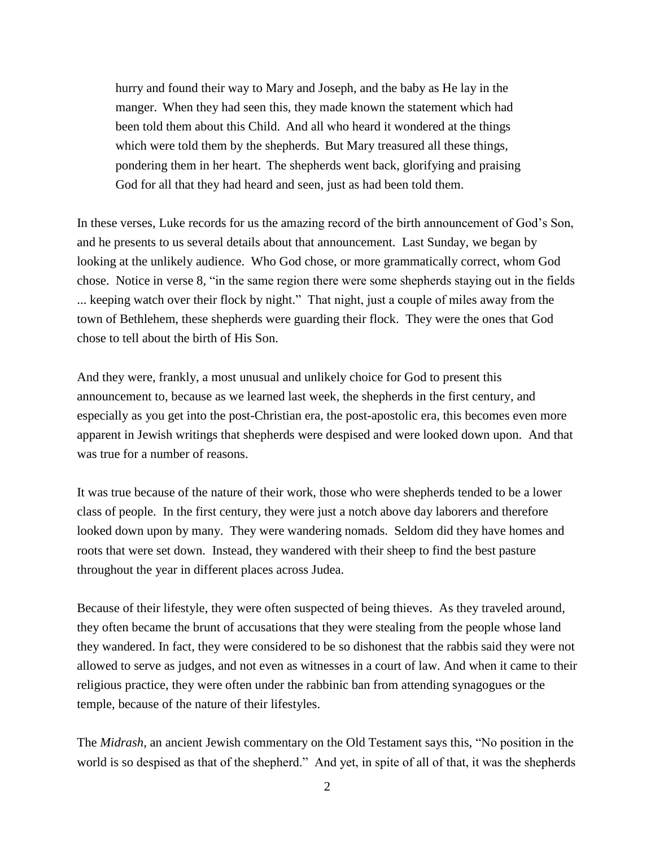hurry and found their way to Mary and Joseph, and the baby as He lay in the manger. When they had seen this, they made known the statement which had been told them about this Child. And all who heard it wondered at the things which were told them by the shepherds. But Mary treasured all these things, pondering them in her heart. The shepherds went back, glorifying and praising God for all that they had heard and seen, just as had been told them.

In these verses, Luke records for us the amazing record of the birth announcement of God's Son, and he presents to us several details about that announcement. Last Sunday, we began by looking at the unlikely audience. Who God chose, or more grammatically correct, whom God chose. Notice in verse 8, "in the same region there were some shepherds staying out in the fields ... keeping watch over their flock by night." That night, just a couple of miles away from the town of Bethlehem, these shepherds were guarding their flock. They were the ones that God chose to tell about the birth of His Son.

And they were, frankly, a most unusual and unlikely choice for God to present this announcement to, because as we learned last week, the shepherds in the first century, and especially as you get into the post-Christian era, the post-apostolic era, this becomes even more apparent in Jewish writings that shepherds were despised and were looked down upon. And that was true for a number of reasons.

It was true because of the nature of their work, those who were shepherds tended to be a lower class of people. In the first century, they were just a notch above day laborers and therefore looked down upon by many. They were wandering nomads. Seldom did they have homes and roots that were set down. Instead, they wandered with their sheep to find the best pasture throughout the year in different places across Judea.

Because of their lifestyle, they were often suspected of being thieves. As they traveled around, they often became the brunt of accusations that they were stealing from the people whose land they wandered. In fact, they were considered to be so dishonest that the rabbis said they were not allowed to serve as judges, and not even as witnesses in a court of law. And when it came to their religious practice, they were often under the rabbinic ban from attending synagogues or the temple, because of the nature of their lifestyles.

The *Midrash*, an ancient Jewish commentary on the Old Testament says this, "No position in the world is so despised as that of the shepherd." And yet, in spite of all of that, it was the shepherds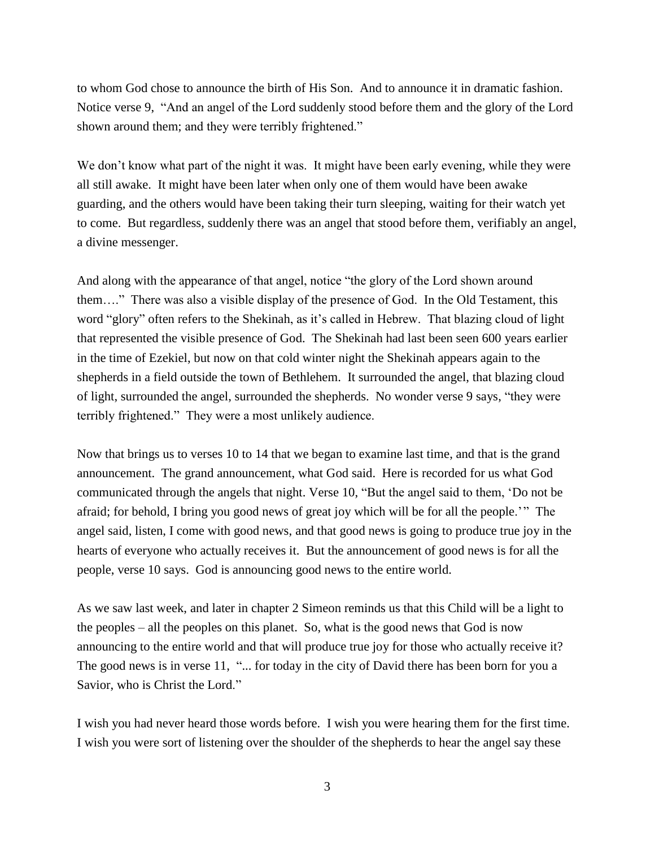to whom God chose to announce the birth of His Son. And to announce it in dramatic fashion. Notice verse 9, "And an angel of the Lord suddenly stood before them and the glory of the Lord shown around them; and they were terribly frightened."

We don't know what part of the night it was. It might have been early evening, while they were all still awake. It might have been later when only one of them would have been awake guarding, and the others would have been taking their turn sleeping, waiting for their watch yet to come. But regardless, suddenly there was an angel that stood before them, verifiably an angel, a divine messenger.

And along with the appearance of that angel, notice "the glory of the Lord shown around them…." There was also a visible display of the presence of God. In the Old Testament, this word "glory" often refers to the Shekinah, as it's called in Hebrew. That blazing cloud of light that represented the visible presence of God. The Shekinah had last been seen 600 years earlier in the time of Ezekiel, but now on that cold winter night the Shekinah appears again to the shepherds in a field outside the town of Bethlehem. It surrounded the angel, that blazing cloud of light, surrounded the angel, surrounded the shepherds. No wonder verse 9 says, "they were terribly frightened." They were a most unlikely audience.

Now that brings us to verses 10 to 14 that we began to examine last time, and that is the grand announcement. The grand announcement, what God said. Here is recorded for us what God communicated through the angels that night. Verse 10, "But the angel said to them, 'Do not be afraid; for behold, I bring you good news of great joy which will be for all the people.'" The angel said, listen, I come with good news, and that good news is going to produce true joy in the hearts of everyone who actually receives it. But the announcement of good news is for all the people, verse 10 says. God is announcing good news to the entire world.

As we saw last week, and later in chapter 2 Simeon reminds us that this Child will be a light to the peoples – all the peoples on this planet. So, what is the good news that God is now announcing to the entire world and that will produce true joy for those who actually receive it? The good news is in verse 11, "... for today in the city of David there has been born for you a Savior, who is Christ the Lord."

I wish you had never heard those words before. I wish you were hearing them for the first time. I wish you were sort of listening over the shoulder of the shepherds to hear the angel say these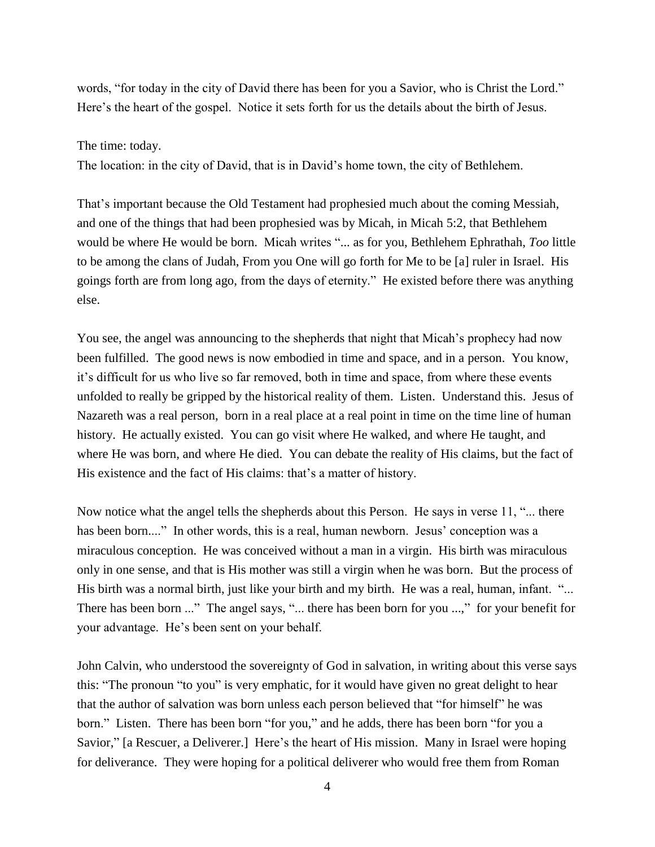words, "for today in the city of David there has been for you a Savior, who is Christ the Lord." Here's the heart of the gospel. Notice it sets forth for us the details about the birth of Jesus.

The time: today.

The location: in the city of David, that is in David's home town, the city of Bethlehem.

That's important because the Old Testament had prophesied much about the coming Messiah, and one of the things that had been prophesied was by Micah, in Micah 5:2, that Bethlehem would be where He would be born. Micah writes "... as for you, Bethlehem Ephrathah, *Too* little to be among the clans of Judah, From you One will go forth for Me to be [a] ruler in Israel. His goings forth are from long ago, from the days of eternity." He existed before there was anything else.

You see, the angel was announcing to the shepherds that night that Micah's prophecy had now been fulfilled. The good news is now embodied in time and space, and in a person. You know, it's difficult for us who live so far removed, both in time and space, from where these events unfolded to really be gripped by the historical reality of them. Listen. Understand this. Jesus of Nazareth was a real person, born in a real place at a real point in time on the time line of human history. He actually existed. You can go visit where He walked, and where He taught, and where He was born, and where He died. You can debate the reality of His claims, but the fact of His existence and the fact of His claims: that's a matter of history.

Now notice what the angel tells the shepherds about this Person. He says in verse 11, "... there has been born...." In other words, this is a real, human newborn. Jesus' conception was a miraculous conception. He was conceived without a man in a virgin. His birth was miraculous only in one sense, and that is His mother was still a virgin when he was born. But the process of His birth was a normal birth, just like your birth and my birth. He was a real, human, infant. "... There has been born ..." The angel says, "... there has been born for you ...," for your benefit for your advantage. He's been sent on your behalf.

John Calvin, who understood the sovereignty of God in salvation, in writing about this verse says this: "The pronoun "to you" is very emphatic, for it would have given no great delight to hear that the author of salvation was born unless each person believed that "for himself" he was born." Listen. There has been born "for you," and he adds, there has been born "for you a Savior," [a Rescuer, a Deliverer.] Here's the heart of His mission. Many in Israel were hoping for deliverance. They were hoping for a political deliverer who would free them from Roman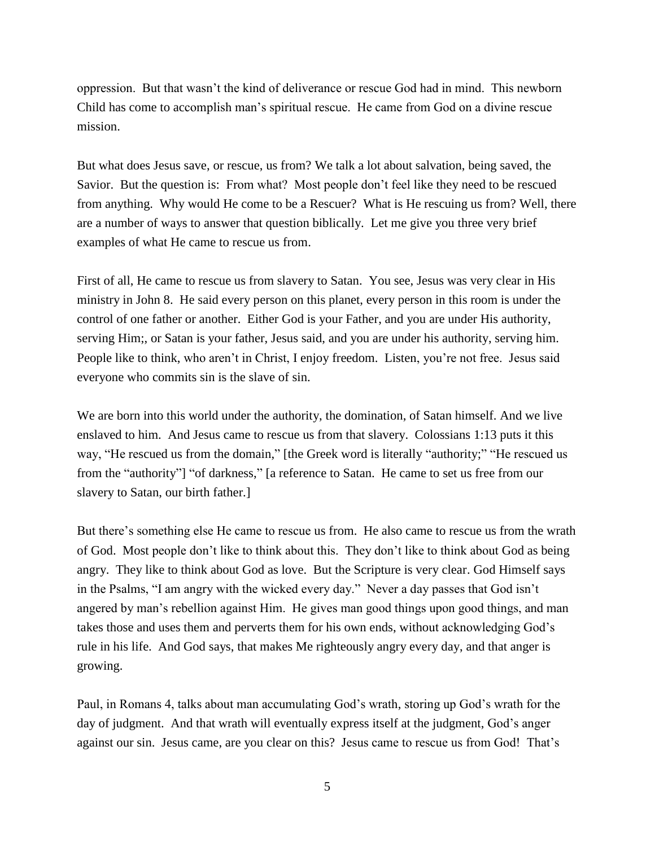oppression. But that wasn't the kind of deliverance or rescue God had in mind. This newborn Child has come to accomplish man's spiritual rescue. He came from God on a divine rescue mission.

But what does Jesus save, or rescue, us from? We talk a lot about salvation, being saved, the Savior. But the question is: From what? Most people don't feel like they need to be rescued from anything. Why would He come to be a Rescuer? What is He rescuing us from? Well, there are a number of ways to answer that question biblically. Let me give you three very brief examples of what He came to rescue us from.

First of all, He came to rescue us from slavery to Satan. You see, Jesus was very clear in His ministry in John 8. He said every person on this planet, every person in this room is under the control of one father or another. Either God is your Father, and you are under His authority, serving Him;, or Satan is your father, Jesus said, and you are under his authority, serving him. People like to think, who aren't in Christ, I enjoy freedom. Listen, you're not free. Jesus said everyone who commits sin is the slave of sin.

We are born into this world under the authority, the domination, of Satan himself. And we live enslaved to him. And Jesus came to rescue us from that slavery. Colossians 1:13 puts it this way, "He rescued us from the domain," [the Greek word is literally "authority;" "He rescued us from the "authority"] "of darkness," [a reference to Satan. He came to set us free from our slavery to Satan, our birth father.]

But there's something else He came to rescue us from. He also came to rescue us from the wrath of God. Most people don't like to think about this. They don't like to think about God as being angry. They like to think about God as love. But the Scripture is very clear. God Himself says in the Psalms, "I am angry with the wicked every day." Never a day passes that God isn't angered by man's rebellion against Him. He gives man good things upon good things, and man takes those and uses them and perverts them for his own ends, without acknowledging God's rule in his life. And God says, that makes Me righteously angry every day, and that anger is growing.

Paul, in Romans 4, talks about man accumulating God's wrath, storing up God's wrath for the day of judgment. And that wrath will eventually express itself at the judgment, God's anger against our sin. Jesus came, are you clear on this? Jesus came to rescue us from God! That's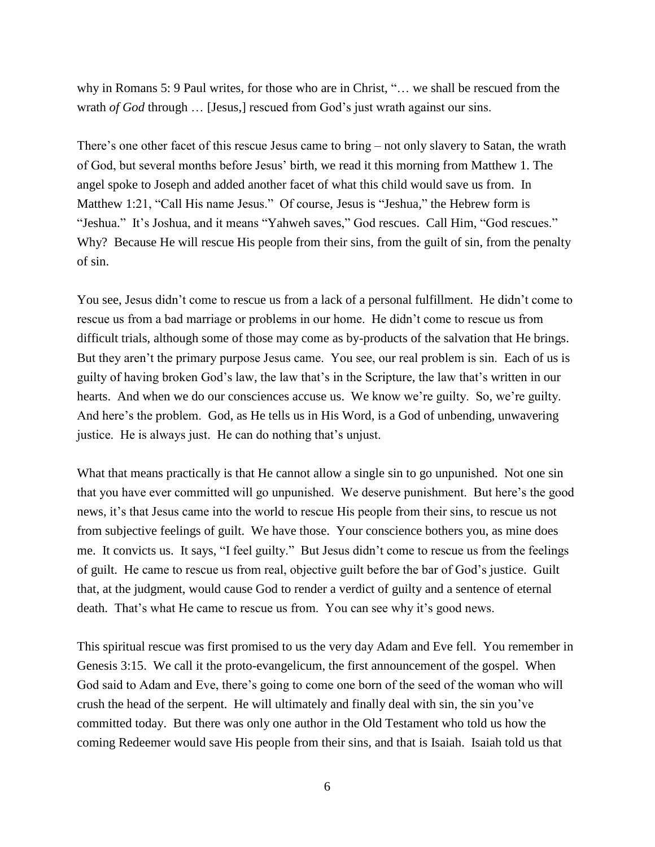why in Romans 5: 9 Paul writes, for those who are in Christ, "… we shall be rescued from the wrath *of God* through ... [Jesus,] rescued from God's just wrath against our sins.

There's one other facet of this rescue Jesus came to bring – not only slavery to Satan, the wrath of God, but several months before Jesus' birth, we read it this morning from Matthew 1. The angel spoke to Joseph and added another facet of what this child would save us from. In Matthew 1:21, "Call His name Jesus." Of course, Jesus is "Jeshua," the Hebrew form is "Jeshua." It's Joshua, and it means "Yahweh saves," God rescues. Call Him, "God rescues." Why? Because He will rescue His people from their sins, from the guilt of sin, from the penalty of sin.

You see, Jesus didn't come to rescue us from a lack of a personal fulfillment. He didn't come to rescue us from a bad marriage or problems in our home. He didn't come to rescue us from difficult trials, although some of those may come as by-products of the salvation that He brings. But they aren't the primary purpose Jesus came. You see, our real problem is sin. Each of us is guilty of having broken God's law, the law that's in the Scripture, the law that's written in our hearts. And when we do our consciences accuse us. We know we're guilty. So, we're guilty. And here's the problem. God, as He tells us in His Word, is a God of unbending, unwavering justice. He is always just. He can do nothing that's unjust.

What that means practically is that He cannot allow a single sin to go unpunished. Not one sin that you have ever committed will go unpunished. We deserve punishment. But here's the good news, it's that Jesus came into the world to rescue His people from their sins, to rescue us not from subjective feelings of guilt. We have those. Your conscience bothers you, as mine does me. It convicts us. It says, "I feel guilty." But Jesus didn't come to rescue us from the feelings of guilt. He came to rescue us from real, objective guilt before the bar of God's justice. Guilt that, at the judgment, would cause God to render a verdict of guilty and a sentence of eternal death. That's what He came to rescue us from. You can see why it's good news.

This spiritual rescue was first promised to us the very day Adam and Eve fell. You remember in Genesis 3:15. We call it the proto-evangelicum, the first announcement of the gospel. When God said to Adam and Eve, there's going to come one born of the seed of the woman who will crush the head of the serpent. He will ultimately and finally deal with sin, the sin you've committed today. But there was only one author in the Old Testament who told us how the coming Redeemer would save His people from their sins, and that is Isaiah. Isaiah told us that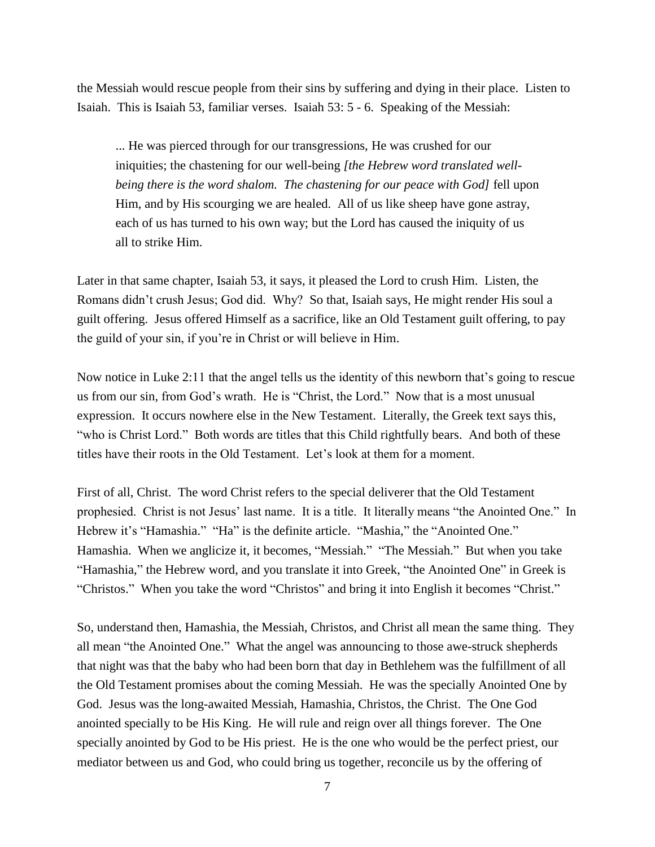the Messiah would rescue people from their sins by suffering and dying in their place. Listen to Isaiah. This is Isaiah 53, familiar verses. Isaiah 53: 5 - 6. Speaking of the Messiah:

... He was pierced through for our transgressions, He was crushed for our iniquities; the chastening for our well-being *[the Hebrew word translated wellbeing there is the word shalom. The chastening for our peace with God]* fell upon Him, and by His scourging we are healed. All of us like sheep have gone astray, each of us has turned to his own way; but the Lord has caused the iniquity of us all to strike Him.

Later in that same chapter, Isaiah 53, it says, it pleased the Lord to crush Him. Listen, the Romans didn't crush Jesus; God did. Why? So that, Isaiah says, He might render His soul a guilt offering. Jesus offered Himself as a sacrifice, like an Old Testament guilt offering, to pay the guild of your sin, if you're in Christ or will believe in Him.

Now notice in Luke 2:11 that the angel tells us the identity of this newborn that's going to rescue us from our sin, from God's wrath. He is "Christ, the Lord." Now that is a most unusual expression. It occurs nowhere else in the New Testament. Literally, the Greek text says this, "who is Christ Lord." Both words are titles that this Child rightfully bears. And both of these titles have their roots in the Old Testament. Let's look at them for a moment.

First of all, Christ. The word Christ refers to the special deliverer that the Old Testament prophesied. Christ is not Jesus' last name. It is a title. It literally means "the Anointed One." In Hebrew it's "Hamashia." "Ha" is the definite article. "Mashia," the "Anointed One." Hamashia. When we anglicize it, it becomes, "Messiah." "The Messiah." But when you take "Hamashia," the Hebrew word, and you translate it into Greek, "the Anointed One" in Greek is "Christos." When you take the word "Christos" and bring it into English it becomes "Christ."

So, understand then, Hamashia, the Messiah, Christos, and Christ all mean the same thing. They all mean "the Anointed One." What the angel was announcing to those awe-struck shepherds that night was that the baby who had been born that day in Bethlehem was the fulfillment of all the Old Testament promises about the coming Messiah. He was the specially Anointed One by God. Jesus was the long-awaited Messiah, Hamashia, Christos, the Christ. The One God anointed specially to be His King. He will rule and reign over all things forever. The One specially anointed by God to be His priest. He is the one who would be the perfect priest, our mediator between us and God, who could bring us together, reconcile us by the offering of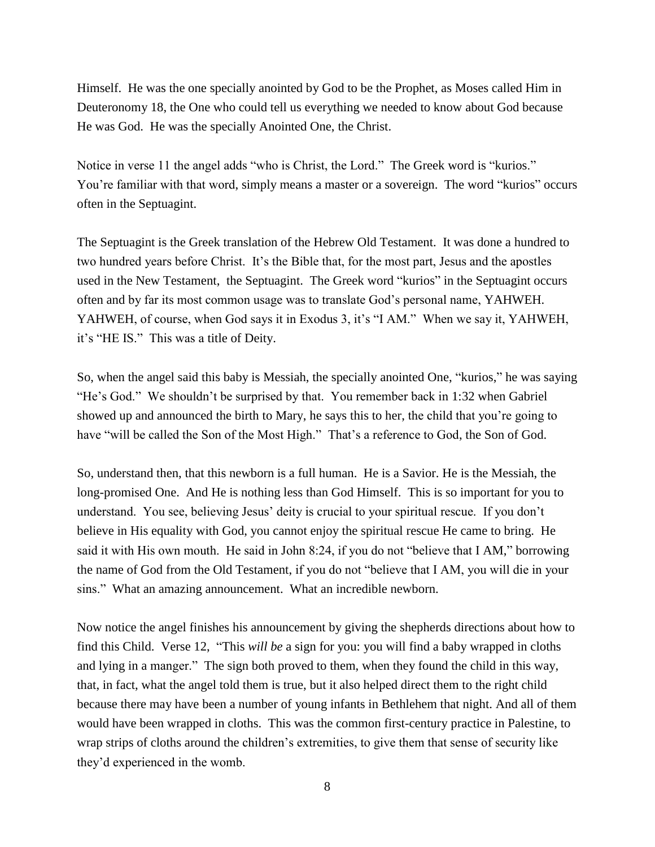Himself. He was the one specially anointed by God to be the Prophet, as Moses called Him in Deuteronomy 18, the One who could tell us everything we needed to know about God because He was God. He was the specially Anointed One, the Christ.

Notice in verse 11 the angel adds "who is Christ, the Lord." The Greek word is "kurios." You're familiar with that word, simply means a master or a sovereign. The word "kurios" occurs often in the Septuagint.

The Septuagint is the Greek translation of the Hebrew Old Testament. It was done a hundred to two hundred years before Christ. It's the Bible that, for the most part, Jesus and the apostles used in the New Testament, the Septuagint. The Greek word "kurios" in the Septuagint occurs often and by far its most common usage was to translate God's personal name, YAHWEH. YAHWEH, of course, when God says it in Exodus 3, it's "I AM." When we say it, YAHWEH, it's "HE IS." This was a title of Deity.

So, when the angel said this baby is Messiah, the specially anointed One, "kurios," he was saying "He's God." We shouldn't be surprised by that. You remember back in 1:32 when Gabriel showed up and announced the birth to Mary, he says this to her, the child that you're going to have "will be called the Son of the Most High." That's a reference to God, the Son of God.

So, understand then, that this newborn is a full human. He is a Savior. He is the Messiah, the long-promised One. And He is nothing less than God Himself. This is so important for you to understand. You see, believing Jesus' deity is crucial to your spiritual rescue. If you don't believe in His equality with God, you cannot enjoy the spiritual rescue He came to bring. He said it with His own mouth. He said in John 8:24, if you do not "believe that I AM," borrowing the name of God from the Old Testament, if you do not "believe that I AM, you will die in your sins." What an amazing announcement. What an incredible newborn.

Now notice the angel finishes his announcement by giving the shepherds directions about how to find this Child. Verse 12, "This *will be* a sign for you: you will find a baby wrapped in cloths and lying in a manger." The sign both proved to them, when they found the child in this way, that, in fact, what the angel told them is true, but it also helped direct them to the right child because there may have been a number of young infants in Bethlehem that night. And all of them would have been wrapped in cloths. This was the common first-century practice in Palestine, to wrap strips of cloths around the children's extremities, to give them that sense of security like they'd experienced in the womb.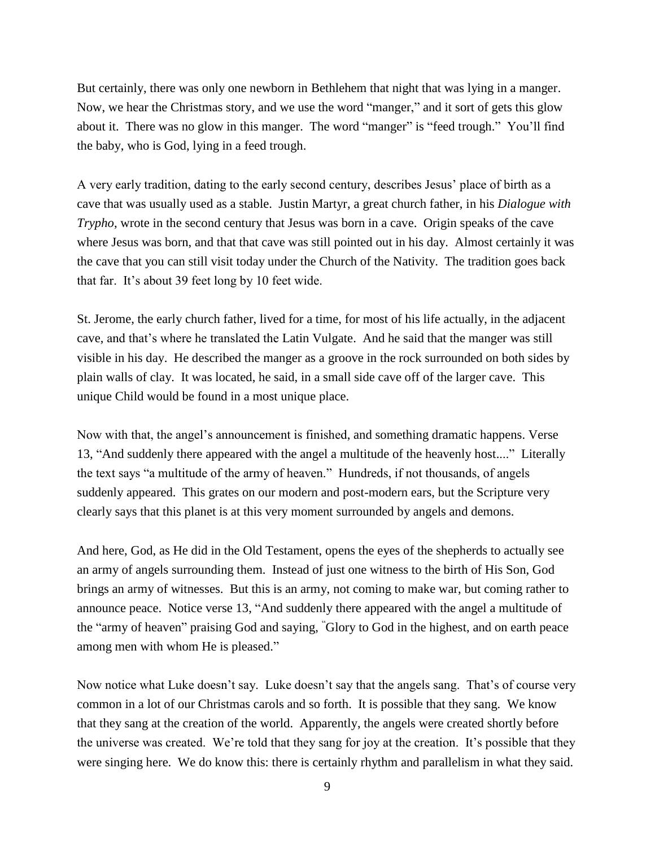But certainly, there was only one newborn in Bethlehem that night that was lying in a manger. Now, we hear the Christmas story, and we use the word "manger," and it sort of gets this glow about it. There was no glow in this manger. The word "manger" is "feed trough." You'll find the baby, who is God, lying in a feed trough.

A very early tradition, dating to the early second century, describes Jesus' place of birth as a cave that was usually used as a stable. Justin Martyr, a great church father, in his *Dialogue with Trypho*, wrote in the second century that Jesus was born in a cave. Origin speaks of the cave where Jesus was born, and that that cave was still pointed out in his day. Almost certainly it was the cave that you can still visit today under the Church of the Nativity. The tradition goes back that far. It's about 39 feet long by 10 feet wide.

St. Jerome, the early church father, lived for a time, for most of his life actually, in the adjacent cave, and that's where he translated the Latin Vulgate. And he said that the manger was still visible in his day. He described the manger as a groove in the rock surrounded on both sides by plain walls of clay. It was located, he said, in a small side cave off of the larger cave. This unique Child would be found in a most unique place.

Now with that, the angel's announcement is finished, and something dramatic happens. Verse 13, "And suddenly there appeared with the angel a multitude of the heavenly host...." Literally the text says "a multitude of the army of heaven." Hundreds, if not thousands, of angels suddenly appeared. This grates on our modern and post-modern ears, but the Scripture very clearly says that this planet is at this very moment surrounded by angels and demons.

And here, God, as He did in the Old Testament, opens the eyes of the shepherds to actually see an army of angels surrounding them. Instead of just one witness to the birth of His Son, God brings an army of witnesses. But this is an army, not coming to make war, but coming rather to announce peace. Notice verse 13, "And suddenly there appeared with the angel a multitude of the "army of heaven" praising God and saying, "Glory to God in the highest, and on earth peace among men with whom He is pleased."

Now notice what Luke doesn't say. Luke doesn't say that the angels sang. That's of course very common in a lot of our Christmas carols and so forth. It is possible that they sang. We know that they sang at the creation of the world. Apparently, the angels were created shortly before the universe was created. We're told that they sang for joy at the creation. It's possible that they were singing here. We do know this: there is certainly rhythm and parallelism in what they said.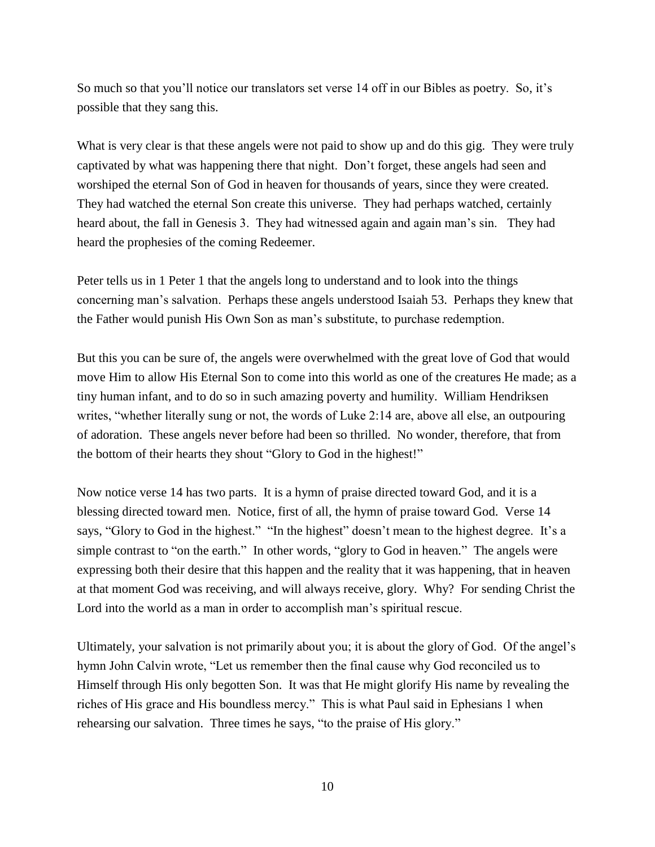So much so that you'll notice our translators set verse 14 off in our Bibles as poetry. So, it's possible that they sang this.

What is very clear is that these angels were not paid to show up and do this gig. They were truly captivated by what was happening there that night. Don't forget, these angels had seen and worshiped the eternal Son of God in heaven for thousands of years, since they were created. They had watched the eternal Son create this universe. They had perhaps watched, certainly heard about, the fall in Genesis 3. They had witnessed again and again man's sin. They had heard the prophesies of the coming Redeemer.

Peter tells us in 1 Peter 1 that the angels long to understand and to look into the things concerning man's salvation. Perhaps these angels understood Isaiah 53. Perhaps they knew that the Father would punish His Own Son as man's substitute, to purchase redemption.

But this you can be sure of, the angels were overwhelmed with the great love of God that would move Him to allow His Eternal Son to come into this world as one of the creatures He made; as a tiny human infant, and to do so in such amazing poverty and humility. William Hendriksen writes, "whether literally sung or not, the words of Luke 2:14 are, above all else, an outpouring of adoration. These angels never before had been so thrilled. No wonder, therefore, that from the bottom of their hearts they shout "Glory to God in the highest!"

Now notice verse 14 has two parts. It is a hymn of praise directed toward God, and it is a blessing directed toward men. Notice, first of all, the hymn of praise toward God. Verse 14 says, "Glory to God in the highest." "In the highest" doesn't mean to the highest degree. It's a simple contrast to "on the earth." In other words, "glory to God in heaven." The angels were expressing both their desire that this happen and the reality that it was happening, that in heaven at that moment God was receiving, and will always receive, glory. Why? For sending Christ the Lord into the world as a man in order to accomplish man's spiritual rescue.

Ultimately, your salvation is not primarily about you; it is about the glory of God. Of the angel's hymn John Calvin wrote, "Let us remember then the final cause why God reconciled us to Himself through His only begotten Son. It was that He might glorify His name by revealing the riches of His grace and His boundless mercy." This is what Paul said in Ephesians 1 when rehearsing our salvation. Three times he says, "to the praise of His glory."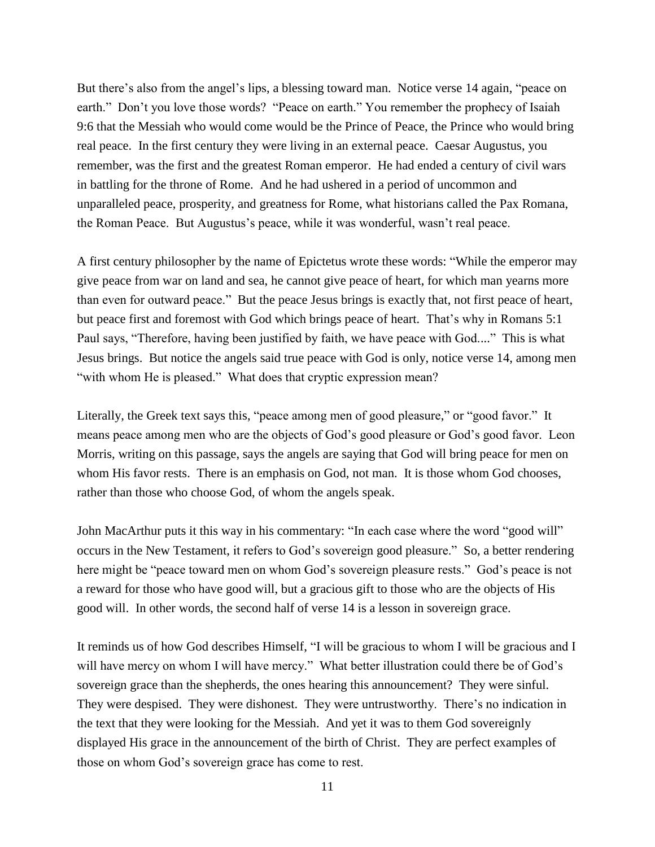But there's also from the angel's lips, a blessing toward man. Notice verse 14 again, "peace on earth." Don't you love those words? "Peace on earth." You remember the prophecy of Isaiah 9:6 that the Messiah who would come would be the Prince of Peace, the Prince who would bring real peace. In the first century they were living in an external peace. Caesar Augustus, you remember, was the first and the greatest Roman emperor. He had ended a century of civil wars in battling for the throne of Rome. And he had ushered in a period of uncommon and unparalleled peace, prosperity, and greatness for Rome, what historians called the Pax Romana, the Roman Peace. But Augustus's peace, while it was wonderful, wasn't real peace.

A first century philosopher by the name of Epictetus wrote these words: "While the emperor may give peace from war on land and sea, he cannot give peace of heart, for which man yearns more than even for outward peace." But the peace Jesus brings is exactly that, not first peace of heart, but peace first and foremost with God which brings peace of heart. That's why in Romans 5:1 Paul says, "Therefore, having been justified by faith, we have peace with God...." This is what Jesus brings. But notice the angels said true peace with God is only, notice verse 14, among men "with whom He is pleased." What does that cryptic expression mean?

Literally, the Greek text says this, "peace among men of good pleasure," or "good favor." It means peace among men who are the objects of God's good pleasure or God's good favor. Leon Morris, writing on this passage, says the angels are saying that God will bring peace for men on whom His favor rests. There is an emphasis on God, not man. It is those whom God chooses, rather than those who choose God, of whom the angels speak.

John MacArthur puts it this way in his commentary: "In each case where the word "good will" occurs in the New Testament, it refers to God's sovereign good pleasure." So, a better rendering here might be "peace toward men on whom God's sovereign pleasure rests." God's peace is not a reward for those who have good will, but a gracious gift to those who are the objects of His good will. In other words, the second half of verse 14 is a lesson in sovereign grace.

It reminds us of how God describes Himself, "I will be gracious to whom I will be gracious and I will have mercy on whom I will have mercy." What better illustration could there be of God's sovereign grace than the shepherds, the ones hearing this announcement? They were sinful. They were despised. They were dishonest. They were untrustworthy. There's no indication in the text that they were looking for the Messiah. And yet it was to them God sovereignly displayed His grace in the announcement of the birth of Christ. They are perfect examples of those on whom God's sovereign grace has come to rest.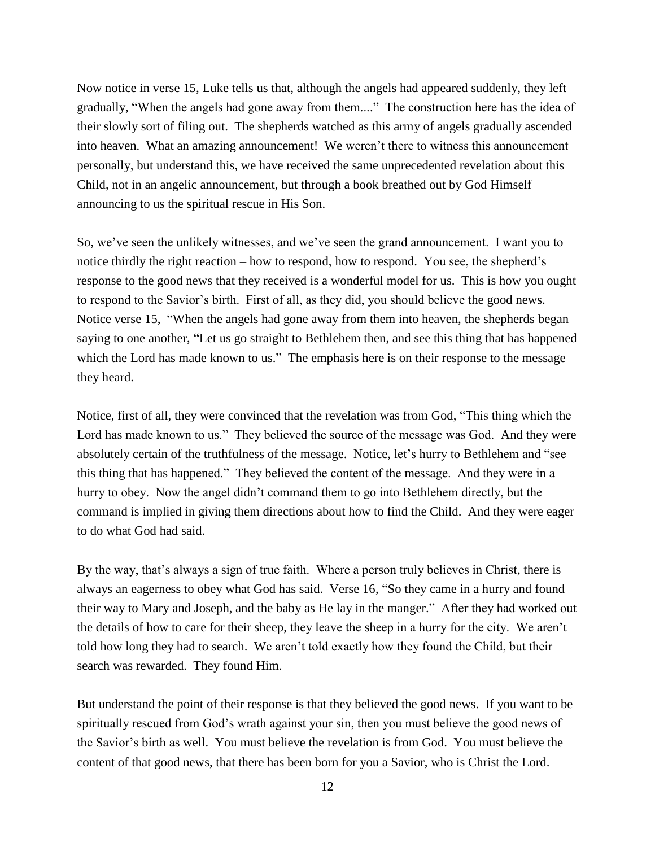Now notice in verse 15, Luke tells us that, although the angels had appeared suddenly, they left gradually, "When the angels had gone away from them...." The construction here has the idea of their slowly sort of filing out. The shepherds watched as this army of angels gradually ascended into heaven. What an amazing announcement! We weren't there to witness this announcement personally, but understand this, we have received the same unprecedented revelation about this Child, not in an angelic announcement, but through a book breathed out by God Himself announcing to us the spiritual rescue in His Son.

So, we've seen the unlikely witnesses, and we've seen the grand announcement. I want you to notice thirdly the right reaction – how to respond, how to respond. You see, the shepherd's response to the good news that they received is a wonderful model for us. This is how you ought to respond to the Savior's birth. First of all, as they did, you should believe the good news. Notice verse 15, "When the angels had gone away from them into heaven, the shepherds began saying to one another, "Let us go straight to Bethlehem then, and see this thing that has happened which the Lord has made known to us." The emphasis here is on their response to the message they heard.

Notice, first of all, they were convinced that the revelation was from God, "This thing which the Lord has made known to us." They believed the source of the message was God. And they were absolutely certain of the truthfulness of the message. Notice, let's hurry to Bethlehem and "see this thing that has happened." They believed the content of the message. And they were in a hurry to obey. Now the angel didn't command them to go into Bethlehem directly, but the command is implied in giving them directions about how to find the Child. And they were eager to do what God had said.

By the way, that's always a sign of true faith. Where a person truly believes in Christ, there is always an eagerness to obey what God has said. Verse 16, "So they came in a hurry and found their way to Mary and Joseph, and the baby as He lay in the manger." After they had worked out the details of how to care for their sheep, they leave the sheep in a hurry for the city. We aren't told how long they had to search. We aren't told exactly how they found the Child, but their search was rewarded. They found Him.

But understand the point of their response is that they believed the good news. If you want to be spiritually rescued from God's wrath against your sin, then you must believe the good news of the Savior's birth as well. You must believe the revelation is from God. You must believe the content of that good news, that there has been born for you a Savior, who is Christ the Lord.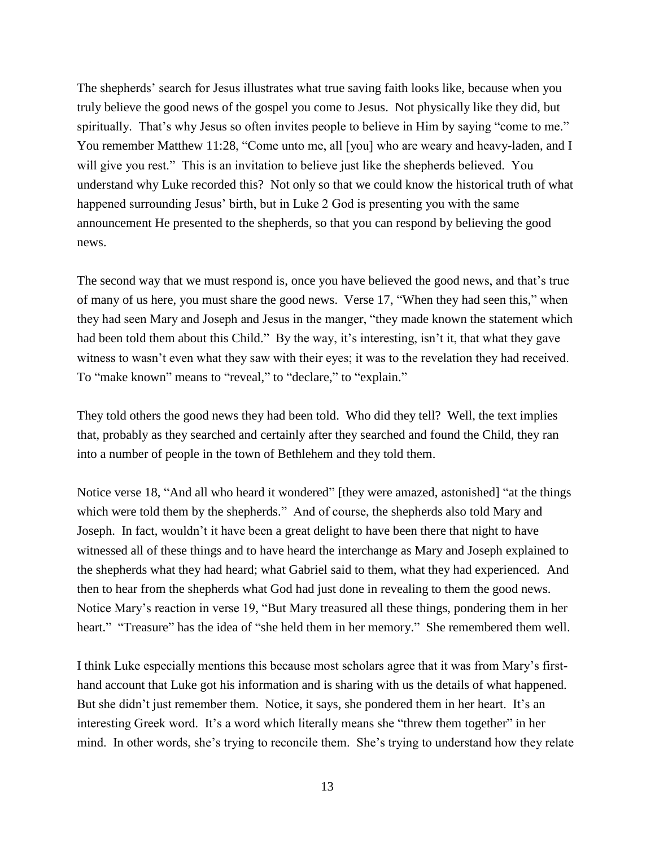The shepherds' search for Jesus illustrates what true saving faith looks like, because when you truly believe the good news of the gospel you come to Jesus. Not physically like they did, but spiritually. That's why Jesus so often invites people to believe in Him by saying "come to me." You remember Matthew 11:28, "Come unto me, all [you] who are weary and heavy-laden, and I will give you rest." This is an invitation to believe just like the shepherds believed. You understand why Luke recorded this? Not only so that we could know the historical truth of what happened surrounding Jesus' birth, but in Luke 2 God is presenting you with the same announcement He presented to the shepherds, so that you can respond by believing the good news.

The second way that we must respond is, once you have believed the good news, and that's true of many of us here, you must share the good news. Verse 17, "When they had seen this," when they had seen Mary and Joseph and Jesus in the manger, "they made known the statement which had been told them about this Child." By the way, it's interesting, isn't it, that what they gave witness to wasn't even what they saw with their eyes; it was to the revelation they had received. To "make known" means to "reveal," to "declare," to "explain."

They told others the good news they had been told. Who did they tell? Well, the text implies that, probably as they searched and certainly after they searched and found the Child, they ran into a number of people in the town of Bethlehem and they told them.

Notice verse 18, "And all who heard it wondered" [they were amazed, astonished] "at the things which were told them by the shepherds." And of course, the shepherds also told Mary and Joseph. In fact, wouldn't it have been a great delight to have been there that night to have witnessed all of these things and to have heard the interchange as Mary and Joseph explained to the shepherds what they had heard; what Gabriel said to them, what they had experienced. And then to hear from the shepherds what God had just done in revealing to them the good news. Notice Mary's reaction in verse 19, "But Mary treasured all these things, pondering them in her heart." "Treasure" has the idea of "she held them in her memory." She remembered them well.

I think Luke especially mentions this because most scholars agree that it was from Mary's firsthand account that Luke got his information and is sharing with us the details of what happened. But she didn't just remember them. Notice, it says, she pondered them in her heart. It's an interesting Greek word. It's a word which literally means she "threw them together" in her mind. In other words, she's trying to reconcile them. She's trying to understand how they relate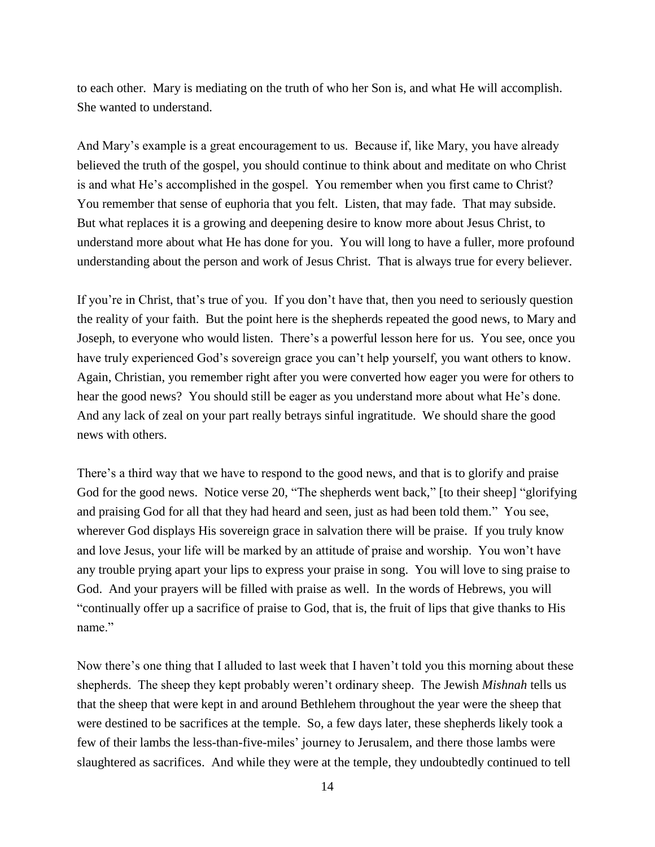to each other. Mary is mediating on the truth of who her Son is, and what He will accomplish. She wanted to understand.

And Mary's example is a great encouragement to us. Because if, like Mary, you have already believed the truth of the gospel, you should continue to think about and meditate on who Christ is and what He's accomplished in the gospel. You remember when you first came to Christ? You remember that sense of euphoria that you felt. Listen, that may fade. That may subside. But what replaces it is a growing and deepening desire to know more about Jesus Christ, to understand more about what He has done for you. You will long to have a fuller, more profound understanding about the person and work of Jesus Christ. That is always true for every believer.

If you're in Christ, that's true of you. If you don't have that, then you need to seriously question the reality of your faith. But the point here is the shepherds repeated the good news, to Mary and Joseph, to everyone who would listen. There's a powerful lesson here for us. You see, once you have truly experienced God's sovereign grace you can't help yourself, you want others to know. Again, Christian, you remember right after you were converted how eager you were for others to hear the good news? You should still be eager as you understand more about what He's done. And any lack of zeal on your part really betrays sinful ingratitude. We should share the good news with others.

There's a third way that we have to respond to the good news, and that is to glorify and praise God for the good news. Notice verse 20, "The shepherds went back," [to their sheep] "glorifying and praising God for all that they had heard and seen, just as had been told them." You see, wherever God displays His sovereign grace in salvation there will be praise. If you truly know and love Jesus, your life will be marked by an attitude of praise and worship. You won't have any trouble prying apart your lips to express your praise in song. You will love to sing praise to God. And your prayers will be filled with praise as well. In the words of Hebrews, you will "continually offer up a sacrifice of praise to God, that is, the fruit of lips that give thanks to His name."

Now there's one thing that I alluded to last week that I haven't told you this morning about these shepherds. The sheep they kept probably weren't ordinary sheep. The Jewish *Mishnah* tells us that the sheep that were kept in and around Bethlehem throughout the year were the sheep that were destined to be sacrifices at the temple. So, a few days later, these shepherds likely took a few of their lambs the less-than-five-miles' journey to Jerusalem, and there those lambs were slaughtered as sacrifices. And while they were at the temple, they undoubtedly continued to tell